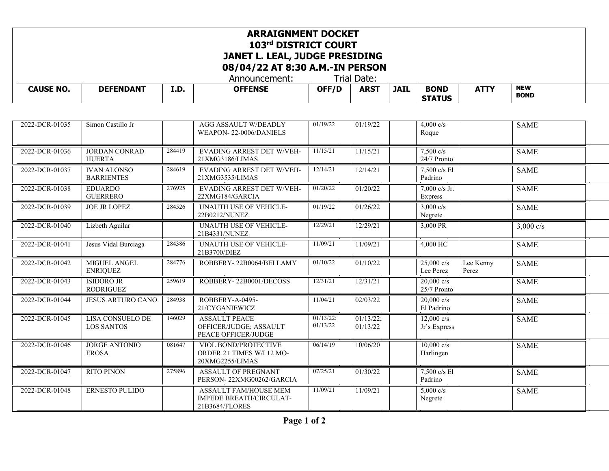## **ARRAIGNMENT DOCKET 103rd DISTRICT COURT JANET L. LEAL, JUDGE PRESIDING 08/04/22 AT 8:30 A.M.-IN PERSON**

Announcement:

| <b>CAUSE NO.</b> | <b>FENDANT</b><br>DE | I.D | <b>OFFENSE</b> | OFF/D | ARS <sup>T</sup> | <b>JAIL</b> | <b>BOND</b><br><b>STATUS</b> | $\mathbf{r}$<br>. . | <b>NEW</b><br><b>BOND</b> |  |
|------------------|----------------------|-----|----------------|-------|------------------|-------------|------------------------------|---------------------|---------------------------|--|
|------------------|----------------------|-----|----------------|-------|------------------|-------------|------------------------------|---------------------|---------------------------|--|

| 2022-DCR-01035 | Simon Castillo Jr                            |        | <b>AGG ASSAULT W/DEADLY</b><br>WEAPON-22-0006/DANIELS                     | 01/19/22              | 01/19/22              | $4,000 \text{ c/s}$<br>Roque         |                    | <b>SAME</b> |  |
|----------------|----------------------------------------------|--------|---------------------------------------------------------------------------|-----------------------|-----------------------|--------------------------------------|--------------------|-------------|--|
| 2022-DCR-01036 | <b>JORDAN CONRAD</b><br><b>HUERTA</b>        | 284419 | EVADING ARREST DET W/VEH-<br>21XMG3186/LIMAS                              | 11/15/21              | 11/15/21              | $7,500$ c/s<br>24/7 Pronto           |                    | <b>SAME</b> |  |
| 2022-DCR-01037 | <b>IVAN ALONSO</b><br><b>BARRIENTES</b>      | 284619 | EVADING ARREST DET W/VEH-<br>21XMG3535/LIMAS                              | 12/14/21              | 12/14/21              | 7,500 c/s El<br>Padrino              |                    | <b>SAME</b> |  |
| 2022-DCR-01038 | <b>EDUARDO</b><br><b>GUERRERO</b>            | 276925 | EVADING ARREST DET W/VEH-<br>22XMG184/GARCIA                              | 01/20/22              | 01/20/22              | 7,000 c/s Jr.<br>Express             |                    | <b>SAME</b> |  |
| 2022-DCR-01039 | <b>JOE JR LOPEZ</b>                          | 284526 | <b>UNAUTH USE OF VEHICLE-</b><br>22B0212/NUNEZ                            | 01/19/22              | 01/26/22              | 3,000 $c/s$<br>Negrete               |                    | <b>SAME</b> |  |
| 2022-DCR-01040 | Lizbeth Aguilar                              |        | UNAUTH USE OF VEHICLE-<br>21B4331/NUNEZ                                   | 12/29/21              | 12/29/21              | 3,000 PR                             |                    | 3,000 $c/s$ |  |
| 2022-DCR-01041 | Jesus Vidal Burciaga                         | 284386 | <b>UNAUTH USE OF VEHICLE-</b><br>21B3700/DIEZ                             | 11/09/21              | 11/09/21              | 4,000 HC                             |                    | <b>SAME</b> |  |
| 2022-DCR-01042 | MIGUEL ANGEL<br><b>ENRIQUEZ</b>              | 284776 | ROBBERY-22B0064/BELLAMY                                                   | 01/10/22              | $\sqrt{01}/10/22$     | $25,000 \text{ c/s}$<br>Lee Perez    | Lee Kenny<br>Perez | <b>SAME</b> |  |
| 2022-DCR-01043 | <b>ISIDORO JR</b><br><b>RODRIGUEZ</b>        | 259619 | ROBBERY-22B0001/DECOSS                                                    | 12/31/21              | 12/31/21              | $20,000$ c/s<br>25/7 Pronto          |                    | <b>SAME</b> |  |
| 2022-DCR-01044 | <b>JESUS ARTURO CANO</b>                     | 284938 | ROBBERY-A-0495-<br>21/CYGANIEWICZ                                         | 11/04/21              | 02/03/22              | $20,000$ c/s<br>El Padrino           |                    | <b>SAME</b> |  |
| 2022-DCR-01045 | <b>LISA CONSUELO DE</b><br><b>LOS SANTOS</b> | 146029 | <b>ASSAULT PEACE</b><br>OFFICER/JUDGE; ASSAULT<br>PEACE OFFICER/JUDGE     | 01/13/22;<br>01/13/22 | 01/13/22;<br>01/13/22 | $12,000 \text{ c/s}$<br>Jr's Express |                    | <b>SAME</b> |  |
| 2022-DCR-01046 | <b>JORGE ANTONIO</b><br><b>EROSA</b>         | 081647 | VIOL BOND/PROTECTIVE<br>ORDER 2+ TIMES W/I 12 MO-<br>20XMG2255/LIMAS      | 06/14/19              | 10/06/20              | $10,000 \text{ c/s}$<br>Harlingen    |                    | <b>SAME</b> |  |
| 2022-DCR-01047 | <b>RITO PINON</b>                            | 275896 | <b>ASSAULT OF PREGNANT</b><br>PERSON-22XMG00262/GARCIA                    | 07/25/21              | 01/30/22              | 7,500 c/s El<br>Padrino              |                    | <b>SAME</b> |  |
| 2022-DCR-01048 | <b>ERNESTO PULIDO</b>                        |        | <b>ASSAULT FAM/HOUSE MEM</b><br>IMPEDE BREATH/CIRCULAT-<br>21B3684/FLORES | 11/09/21              | 11/09/21              | $5,000 \text{ c/s}$<br>Negrete       |                    | <b>SAME</b> |  |